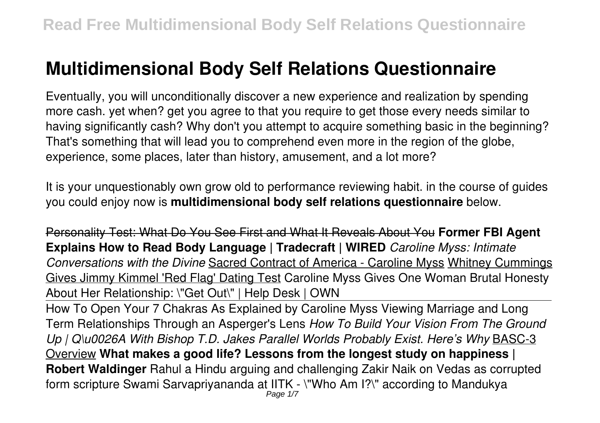# **Multidimensional Body Self Relations Questionnaire**

Eventually, you will unconditionally discover a new experience and realization by spending more cash. yet when? get you agree to that you require to get those every needs similar to having significantly cash? Why don't you attempt to acquire something basic in the beginning? That's something that will lead you to comprehend even more in the region of the globe, experience, some places, later than history, amusement, and a lot more?

It is your unquestionably own grow old to performance reviewing habit. in the course of guides you could enjoy now is **multidimensional body self relations questionnaire** below.

Personality Test: What Do You See First and What It Reveals About You **Former FBI Agent Explains How to Read Body Language | Tradecraft | WIRED** *Caroline Myss: Intimate Conversations with the Divine* Sacred Contract of America - Caroline Myss Whitney Cummings Gives Jimmy Kimmel 'Red Flag' Dating Test Caroline Myss Gives One Woman Brutal Honesty About Her Relationship: \"Get Out\" | Help Desk | OWN

How To Open Your 7 Chakras As Explained by Caroline Myss Viewing Marriage and Long Term Relationships Through an Asperger's Lens *How To Build Your Vision From The Ground Up | Q\u0026A With Bishop T.D. Jakes Parallel Worlds Probably Exist. Here's Why* BASC-3 Overview **What makes a good life? Lessons from the longest study on happiness | Robert Waldinger** Rahul a Hindu arguing and challenging Zakir Naik on Vedas as corrupted form scripture Swami Sarvapriyananda at IITK - \"Who Am I?\" according to Mandukya Page 1/7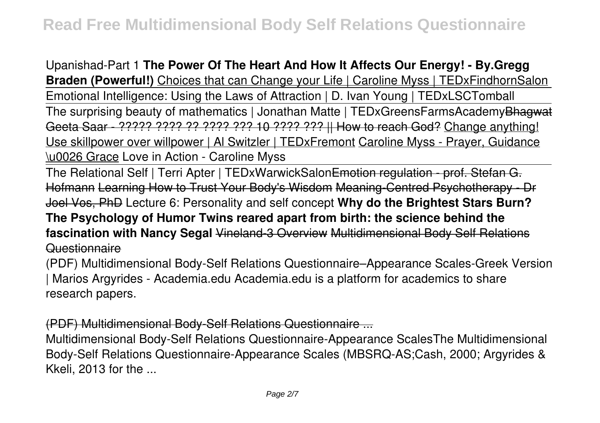Upanishad-Part 1 **The Power Of The Heart And How It Affects Our Energy! - By.Gregg Braden (Powerful!)** Choices that can Change your Life | Caroline Myss | TEDxFindhornSalon Emotional Intelligence: Using the Laws of Attraction | D. Ivan Young | TEDxLSCTomball The surprising beauty of mathematics | Jonathan Matte | TEDxGreensFarmsAcademyBhagwat Geeta Saar - ????? ???? ?? ???? ??? 10 ???? ??? || How to reach God? Change anything! Use skillpower over willpower | Al Switzler | TEDxFremont Caroline Myss - Prayer, Guidance \u0026 Grace Love in Action - Caroline Myss

The Relational Self | Terri Apter | TEDxWarwickSalonEmotion regulation - prof. Stefan G. Hofmann Learning How to Trust Your Body's Wisdom Meaning-Centred Psychotherapy - Dr Joel Vos, PhD Lecture 6: Personality and self concept **Why do the Brightest Stars Burn? The Psychology of Humor Twins reared apart from birth: the science behind the fascination with Nancy Segal** Vineland-3 Overview Multidimensional Body Self Relations Questionnaire

(PDF) Multidimensional Body-Self Relations Questionnaire–Appearance Scales-Greek Version | Marios Argyrides - Academia.edu Academia.edu is a platform for academics to share research papers.

(PDF) Multidimensional Body-Self Relations Questionnaire ...

Multidimensional Body-Self Relations Questionnaire-Appearance ScalesThe Multidimensional Body-Self Relations Questionnaire-Appearance Scales (MBSRQ-AS;Cash, 2000; Argyrides & Kkeli, 2013 for the ...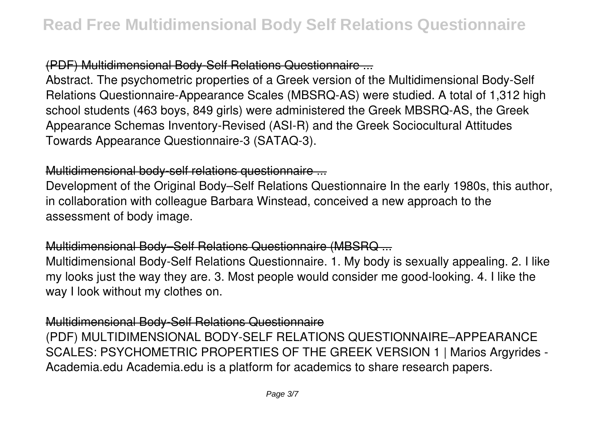# (PDF) Multidimensional Body-Self Relations Questionnaire ...

Abstract. The psychometric properties of a Greek version of the Multidimensional Body-Self Relations Questionnaire-Appearance Scales (MBSRQ-AS) were studied. A total of 1,312 high school students (463 boys, 849 girls) were administered the Greek MBSRQ-AS, the Greek Appearance Schemas Inventory-Revised (ASI-R) and the Greek Sociocultural Attitudes Towards Appearance Questionnaire-3 (SATAQ-3).

#### Multidimensional body-self relations questionnaire ...

Development of the Original Body–Self Relations Questionnaire In the early 1980s, this author, in collaboration with colleague Barbara Winstead, conceived a new approach to the assessment of body image.

## Multidimensional Body–Self Relations Questionnaire (MBSRQ ...

Multidimensional Body-Self Relations Questionnaire. 1. My body is sexually appealing. 2. I like my looks just the way they are. 3. Most people would consider me good-looking. 4. I like the way I look without my clothes on.

#### Multidimensional Body-Self Relations Questionnaire

(PDF) MULTIDIMENSIONAL BODY-SELF RELATIONS QUESTIONNAIRE–APPEARANCE SCALES: PSYCHOMETRIC PROPERTIES OF THE GREEK VERSION 1 | Marios Argyrides - Academia.edu Academia.edu is a platform for academics to share research papers.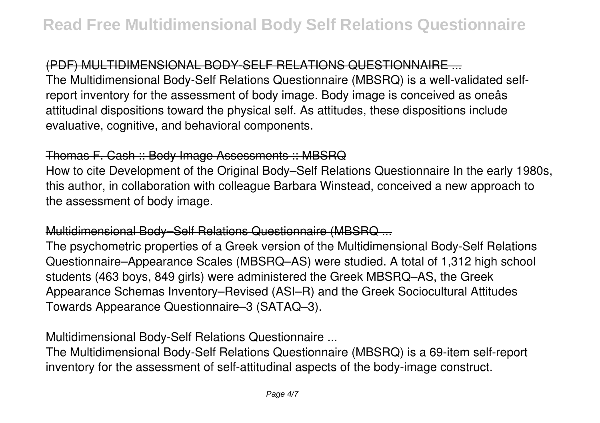# (PDF) MULTIDIMENSIONAL BODY-SELF RELATIONS QUESTIONNAIRE ...

The Multidimensional Body-Self Relations Questionnaire (MBSRQ) is a well-validated selfreport inventory for the assessment of body image. Body image is conceived as oneâs attitudinal dispositions toward the physical self. As attitudes, these dispositions include evaluative, cognitive, and behavioral components.

#### Thomas F. Cash :: Body Image Assessments :: MBSRQ

How to cite Development of the Original Body–Self Relations Questionnaire In the early 1980s, this author, in collaboration with colleague Barbara Winstead, conceived a new approach to the assessment of body image.

# Multidimensional Body–Self Relations Questionnaire (MBSRQ ...

The psychometric properties of a Greek version of the Multidimensional Body-Self Relations Questionnaire–Appearance Scales (MBSRQ–AS) were studied. A total of 1,312 high school students (463 boys, 849 girls) were administered the Greek MBSRQ–AS, the Greek Appearance Schemas Inventory–Revised (ASI–R) and the Greek Sociocultural Attitudes Towards Appearance Questionnaire–3 (SATAQ–3).

## Multidimensional Body-Self Relations Questionnaire ...

The Multidimensional Body-Self Relations Questionnaire (MBSRQ) is a 69-item self-report inventory for the assessment of self-attitudinal aspects of the body-image construct.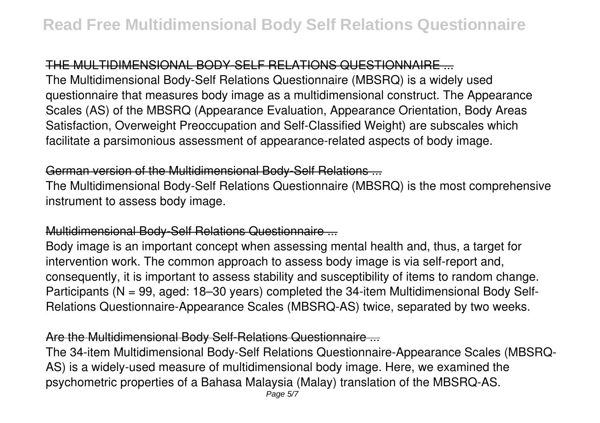# THE MULTIDIMENSIONAL BODY-SELF RELATIONS QUESTIONNAIRE ...

The Multidimensional Body-Self Relations Questionnaire (MBSRQ) is a widely used questionnaire that measures body image as a multidimensional construct. The Appearance Scales (AS) of the MBSRQ (Appearance Evaluation, Appearance Orientation, Body Areas Satisfaction, Overweight Preoccupation and Self-Classified Weight) are subscales which facilitate a parsimonious assessment of appearance-related aspects of body image.

## German version of the Multidimensional Body-Self Relations ...

The Multidimensional Body-Self Relations Questionnaire (MBSRQ) is the most comprehensive instrument to assess body image.

## Multidimensional Body-Self Relations Questionnaire ...

Body image is an important concept when assessing mental health and, thus, a target for intervention work. The common approach to assess body image is via self-report and, consequently, it is important to assess stability and susceptibility of items to random change. Participants (N = 99, aged: 18–30 years) completed the 34-item Multidimensional Body Self-Relations Questionnaire-Appearance Scales (MBSRQ-AS) twice, separated by two weeks.

## Are the Multidimensional Body Self-Relations Questionnaire ...

The 34-item Multidimensional Body-Self Relations Questionnaire-Appearance Scales (MBSRQ-AS) is a widely-used measure of multidimensional body image. Here, we examined the psychometric properties of a Bahasa Malaysia (Malay) translation of the MBSRQ-AS.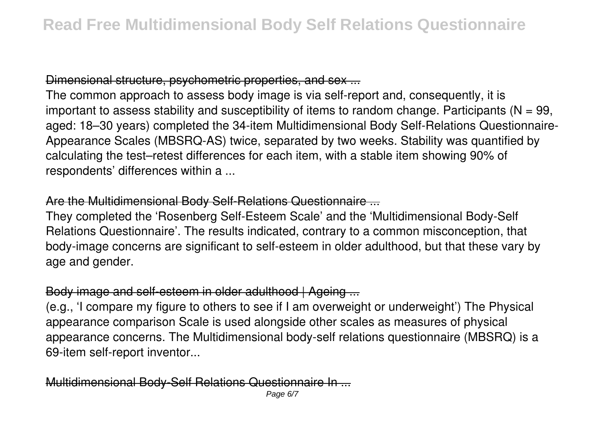# Dimensional structure, psychometric properties, and sex ...

The common approach to assess body image is via self-report and, consequently, it is important to assess stability and susceptibility of items to random change. Participants ( $N = 99$ , aged: 18–30 years) completed the 34-item Multidimensional Body Self-Relations Questionnaire-Appearance Scales (MBSRQ-AS) twice, separated by two weeks. Stability was quantified by calculating the test–retest differences for each item, with a stable item showing 90% of respondents' differences within a ...

#### Are the Multidimensional Body Self-Relations Questionnaire ...

They completed the 'Rosenberg Self-Esteem Scale' and the 'Multidimensional Body-Self Relations Questionnaire'. The results indicated, contrary to a common misconception, that body-image concerns are significant to self-esteem in older adulthood, but that these vary by age and gender.

# Body image and self-esteem in older adulthood | Ageing ...

(e.g., 'I compare my figure to others to see if I am overweight or underweight') The Physical appearance comparison Scale is used alongside other scales as measures of physical appearance concerns. The Multidimensional body-self relations questionnaire (MBSRQ) is a 69-item self-report inventor...

## Multidimensional Body-Self Relations Questionnaire In